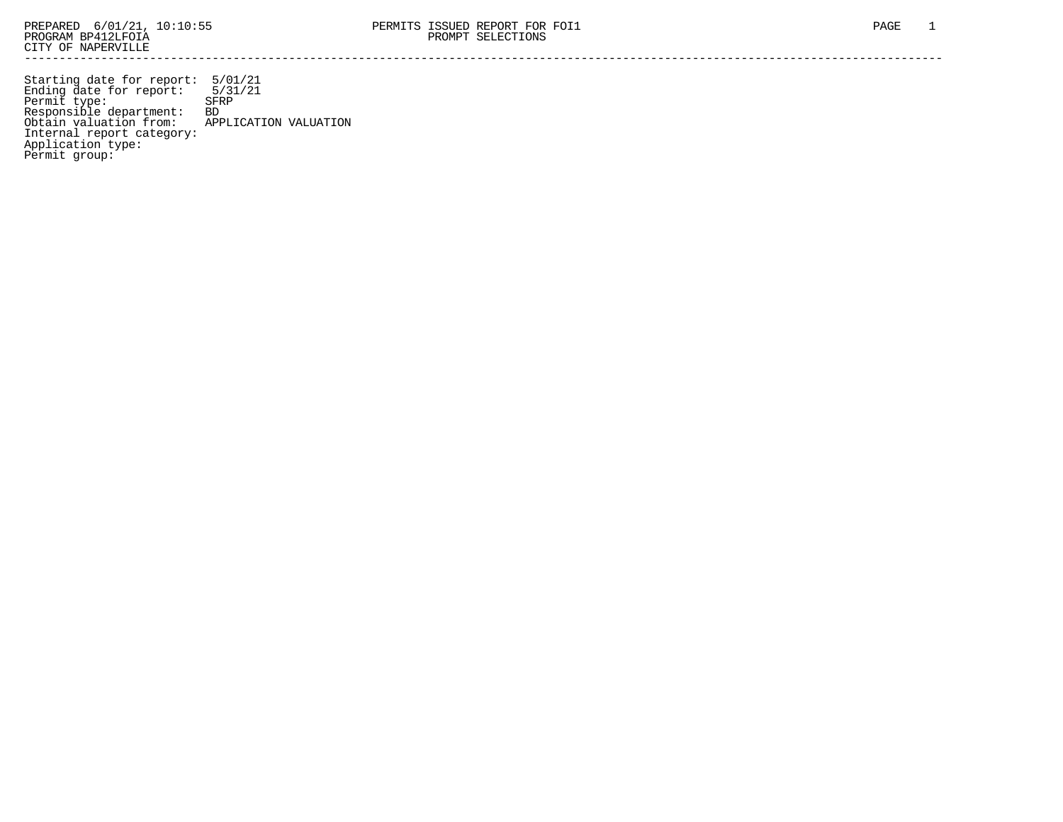Starting date for report: 5/01/21 Ending date for report: 5/31/21 Permit type: SFRP Responsible department: BD Obtain valuation from: APPLICATION VALUATION Internal report category: Application type: Permit group: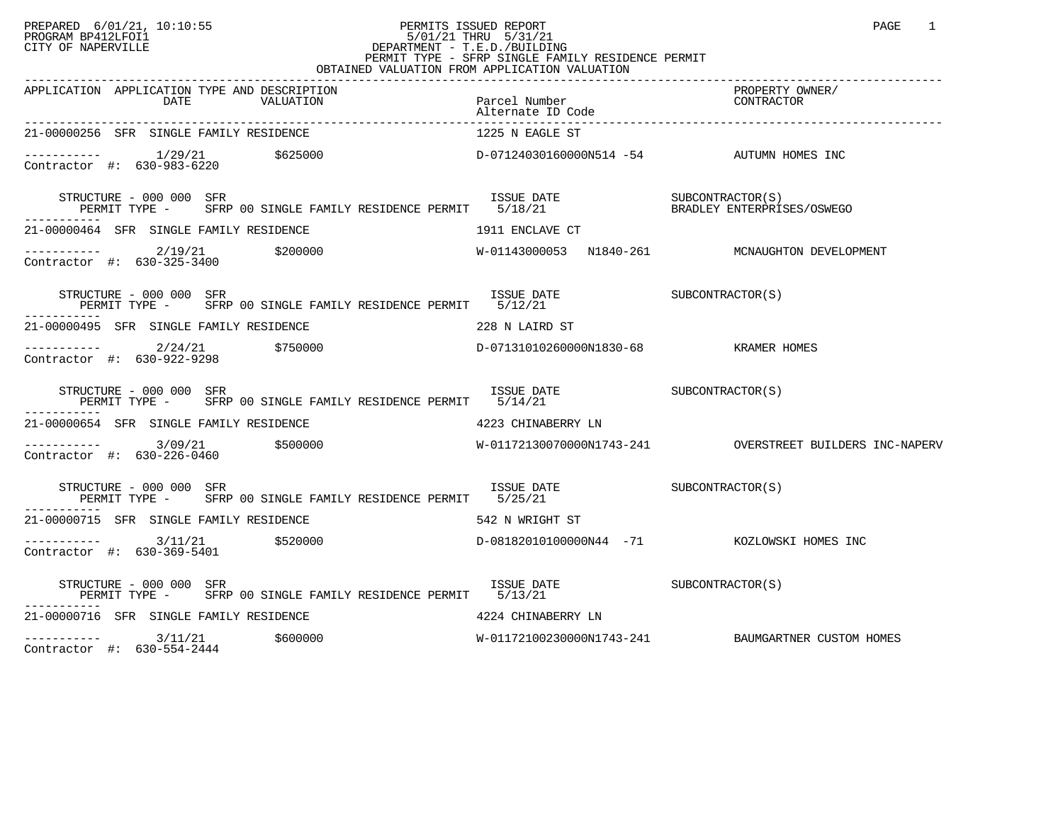# PREPARED 6/01/21, 10:10:55 PERMITS ISSUED REPORT<br>PROGRAM BP412LFOI1 PROGRAM BP412LFOI1 PROGRAM BP412LFOI1 5/01/21 THRU 5/31/21 CITY OF NAPERVILLE **Example 20** CITY OF NAPERVILLE CITY OF NAPERVILLE<br>
PERMIT TYPE - SFRP SINGLE FAMILY RESIDENCE PERMIT<br>
PERMIT TYPE - SFRP SINGLE FAMILY RESIDENCE PERMIT OBTAINED VALUATION FROM APPLICATION VALUATION

| APPLICATION APPLICATION TYPE AND DESCRIPTION<br>DATE<br>VALUATION                                                                                       | Parcel Number<br>Alternate ID Code                                                                                      | PROPERTY OWNER/<br>FRUFERII UT<br>CONTRACTOR       |
|---------------------------------------------------------------------------------------------------------------------------------------------------------|-------------------------------------------------------------------------------------------------------------------------|----------------------------------------------------|
| 21-00000256 SFR SINGLE FAMILY RESIDENCE                                                                                                                 | 1225 N EAGLE ST                                                                                                         |                                                    |
| ----------- 1/29/21 $$625000$ $D-07124030160000N514 -54$ AUTUMN HOMES INC<br>Contractor #: 630-983-6220                                                 |                                                                                                                         |                                                    |
| STRUCTURE - 000 000 SFR<br>.                                                                                                                            |                                                                                                                         |                                                    |
| 21-00000464 SFR SINGLE FAMILY RESIDENCE                                                                                                                 | 1911 ENCLAVE CT                                                                                                         |                                                    |
| ----------- 2/19/21 \$200000<br>Contractor #: 630-325-3400                                                                                              |                                                                                                                         | W-01143000053 N1840-261 MCNAUGHTON DEVELOPMENT     |
| STRUCTURE - 000 000 SFR<br>PERMIT TYPE - SFRP 00 SINGLE FAMILY RESIDENCE PERMIT 5/12/21                                                                 | ISSUE DATE SUBCONTRACTOR(S)                                                                                             |                                                    |
| 21-00000495 SFR SINGLE FAMILY RESIDENCE THE SERIES OF THE 228 N LAIRD ST                                                                                |                                                                                                                         |                                                    |
| $\begin{array}{cccc}\n-2 & -2 & -2 & -2 \\ \text{Contractor} & +2 & 630 - 922 - 9298 & & & 750000\n\end{array}$                                         | D-07131010260000N1830-68 KRAMER HOMES                                                                                   |                                                    |
| STRUCTURE - 000 000 SFR<br>PERMIT TYPE - SFRP 00 SINGLE FAMILY RESIDENCE PERMIT 5/14/21                                                                 | $\begin{array}{cccc}\n \text{ISSUE} & \text{DATE} & \text{SUBCONTRACTOR(S)}\\  & \text{SUBCONTRACTOR(S)}\n \end{array}$ |                                                    |
| 21-00000654 SFR SINGLE FAMILY RESIDENCE 4223 CHINABERRY LN                                                                                              |                                                                                                                         |                                                    |
| ----------- 3/09/21 \$500000    \$500000    \$500000    \$500000    \$50000    \$50000    \$50000    \$50000    \$50000<br>Contractor #: $630-226-0460$ |                                                                                                                         |                                                    |
| STRUCTURE - 000 000 SFR<br>PERMIT TYPE - SFRP 00 SINGLE FAMILY RESIDENCE PERMIT 5/25/21                                                                 | ISSUE DATE SUBCONTRACTOR(S)                                                                                             |                                                    |
| 21-00000715 SFR SINGLE FAMILY RESIDENCE<br>542 N WRIGHT ST                                                                                              |                                                                                                                         |                                                    |
| $---------$ 3/11/21 \$520000<br>Contractor #: 630-369-5401                                                                                              |                                                                                                                         | D-08182010100000N44 -71 KOZLOWSKI HOMES INC        |
| ----------                                                                                                                                              |                                                                                                                         |                                                    |
| 21-00000716 SFR SINGLE FAMILY RESIDENCE THE SERIES RESOLUTION AND A 224 CHINABERRY LN                                                                   |                                                                                                                         |                                                    |
|                                                                                                                                                         |                                                                                                                         | W-01172100230000N1743-241 BAUMGARTNER CUSTOM HOMES |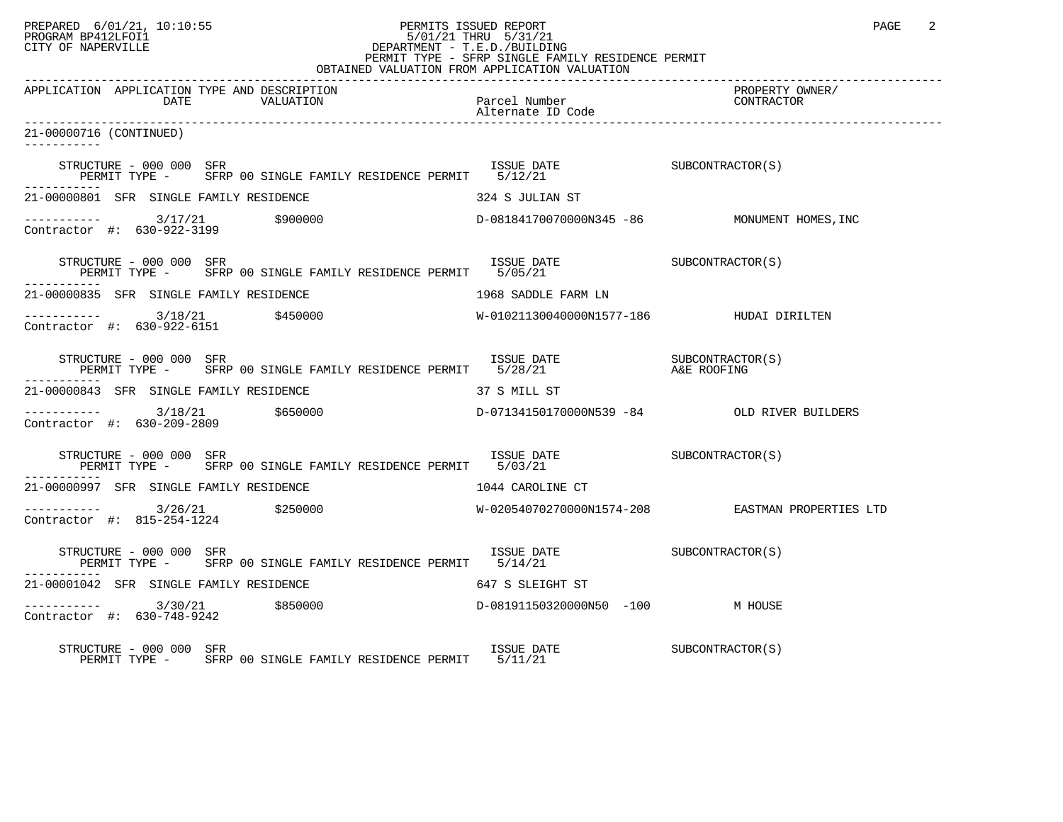# PREPARED 6/01/21, 10:10:55 PERMITS ISSUED REPORT PERMITS ISSUED REPORT PAGE 2 PROGRAM BP412LFOI1 5/01/21 THRU 5/31/21 CITY OF NAPERVILLE **Example 20** CITY OF NAPERVILLE PERMIT TYPE - SFRP SINGLE FAMILY RESIDENCE PERMIT

| OBTAINED VALUATION FROM APPLICATION VALUATION                                                                                                                                                                                 |                                          |                                                  |  |
|-------------------------------------------------------------------------------------------------------------------------------------------------------------------------------------------------------------------------------|------------------------------------------|--------------------------------------------------|--|
| APPLICATION APPLICATION TYPE AND DESCRIPTION                                                                                                                                                                                  |                                          | PROPERTY OWNER/<br>CONTRACTOR                    |  |
| 21-00000716 (CONTINUED)<br>-----------                                                                                                                                                                                        |                                          |                                                  |  |
|                                                                                                                                                                                                                               |                                          |                                                  |  |
| 21-00000801 SFR SINGLE FAMILY RESIDENCE                                                                                                                                                                                       | 324 S JULIAN ST                          |                                                  |  |
| $\begin{array}{ccc}\n - & - & - & - - - \\  \text{Contractor} & + & 630 - 922 - 3199 & \\ \end{array}$ \$900000                                                                                                               |                                          | D-08184170070000N345 -86 MONUMENT HOMES, INC     |  |
|                                                                                                                                                                                                                               |                                          |                                                  |  |
| 21-00000835 SFR SINGLE FAMILY RESIDENCE                                                                                                                                                                                       | 1968 SADDLE FARM LN                      |                                                  |  |
| $\begin{tabular}{ll} \texttt{--------} & 3/18/21 & \texttt{\$450000} \\ \texttt{Contractor} & \texttt{#:} & 630-922-6151 & \\ \end{tabular}$                                                                                  | W-01021130040000N1577-186 HUDAI DIRILTEN |                                                  |  |
| STRUCTURE – 000 000 SFR<br>PERMIT TYPE – SFRP 00 SINGLE FAMILY RESIDENCE PERMIT 5/28/21 – A&E ROOFING                                                                                                                         |                                          |                                                  |  |
| 21-00000843 SFR SINGLE FAMILY RESIDENCE                                                                                                                                                                                       | 37 S MILL ST                             |                                                  |  |
| $\begin{array}{cccc}\n-2 & -2 & -2 & -2 \\ \text{Contractor} & +2 & 630-209-2809 & & & 650000\n\end{array}$                                                                                                                   |                                          | D-07134150170000N539 -84 OLD RIVER BUILDERS      |  |
| ISSUE DATE SUBCONTRACTOR(S)<br>STRUCTURE - 000 000 SFR<br>PERMIT TYPE - SFRP 00 SINGLE FAMILY RESIDENCE PERMIT 5/03/21                                                                                                        |                                          |                                                  |  |
| 21-00000997 SFR SINGLE FAMILY RESIDENCE                                                                                                                                                                                       | 1044 CAROLINE CT                         |                                                  |  |
| $\begin{array}{cccc}\n - & - & - & - & - - \\  \text{Contractor} & + & 815 - 254 - 1224 & & 250000\n \end{array}$                                                                                                             |                                          | W-02054070270000N1574-208 EASTMAN PROPERTIES LTD |  |
|                                                                                                                                                                                                                               |                                          |                                                  |  |
| 21-00001042 SFR SINGLE FAMILY RESIDENCE                                                                                                                                                                                       | 647 S SLEIGHT ST                         |                                                  |  |
| ---------- 3/30/21     \$850000             D-08191150320000N50 -100       M HOUSE<br>Contractor #: 630-748-9242<br>Contractor #: 630-748-9242                                                                                |                                          |                                                  |  |
| $\begin{array}{cccc}\n\text{LSTRE} & \text{LSTRE} & \text{LSTRE} & \text{SUBCONTRACTOR(S)}\\ \text{PERMIT TYPE} & - & \text{SFRP 00 SINGLE FAMILY RESIDENCE PERNITT} & 5/11/21 & & \\ \end{array}$<br>STRUCTURE - 000 000 SFR |                                          |                                                  |  |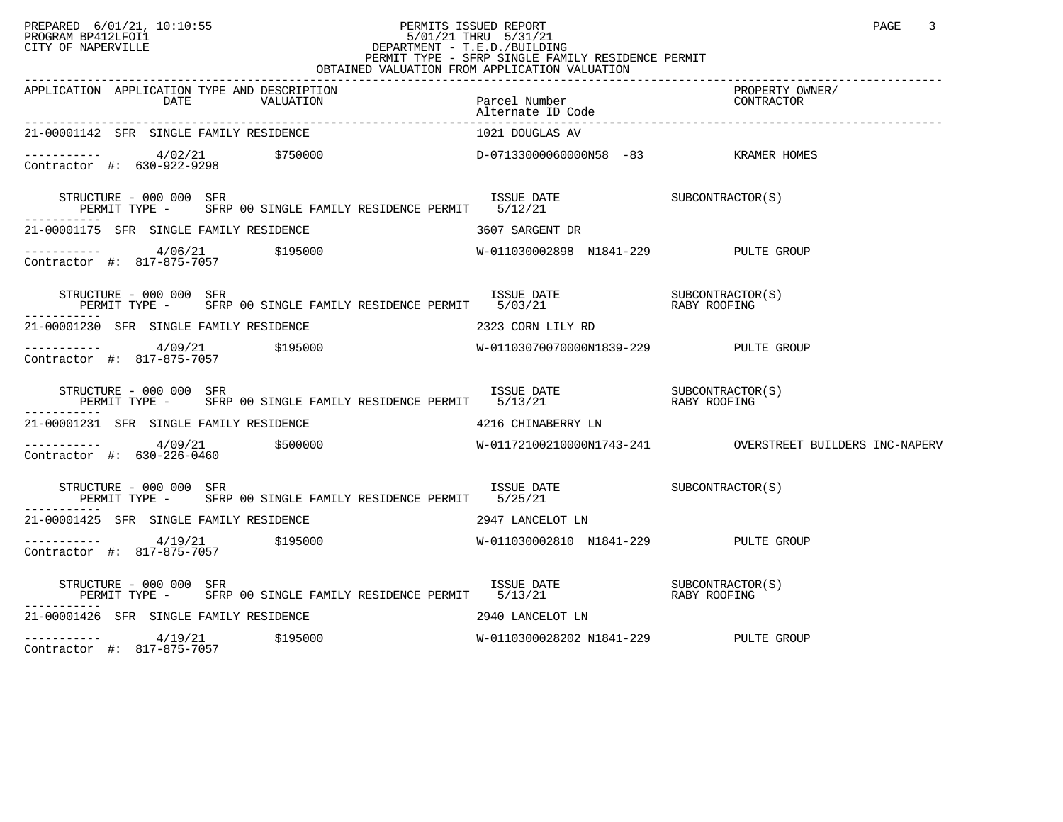#### PREPARED 6/01/21, 10:10:55 PERMITS ISSUED REPORT<br>PROGRAM BP412LFOI1 PAGE 3 PROGRAM BP412LFOI1 5/01/21 THRU 5/31/21 CITY OF NAPERVILLE **Example 20** CITY OF NAPERVILLE CITY OF NAPERVILLE<br>
PERMIT TYPE - SFRP SINGLE FAMILY RESIDENCE PERMIT<br>
PERMIT TYPE - SFRP SINGLE FAMILY RESIDENCE PERMIT OBTAINED VALUATION FROM APPLICATION VALUATION

| 21-00001142 SFR SINGLE FAMILY RESIDENCE                                                                                                                                                                                                                                                                                  | 1021 DOUGLAS AV                       |  |
|--------------------------------------------------------------------------------------------------------------------------------------------------------------------------------------------------------------------------------------------------------------------------------------------------------------------------|---------------------------------------|--|
|                                                                                                                                                                                                                                                                                                                          |                                       |  |
|                                                                                                                                                                                                                                                                                                                          |                                       |  |
| 21-00001175 SFR SINGLE FAMILY RESIDENCE THE SERIES RESIDENCE 21-00001175 SARGENT DR                                                                                                                                                                                                                                      |                                       |  |
|                                                                                                                                                                                                                                                                                                                          |                                       |  |
| STRUCTURE – 000 000 SFR<br>PERMIT TYPE – SFRP 00 SINGLE FAMILY RESIDENCE PERMIT 5/03/21 – RABY ROOFING                                                                                                                                                                                                                   |                                       |  |
| 21-00001230 SFR SINGLE FAMILY RESIDENCE 2323 CORN LILY RD                                                                                                                                                                                                                                                                |                                       |  |
|                                                                                                                                                                                                                                                                                                                          |                                       |  |
| $\begin{array}{cccccc} \texttt{STRUCTURE} & - & 000 & 000 & \texttt{SFR} & & & \\ \texttt{PERMIT TYPE} & - & & \texttt{SFRP} & 00 & \texttt{SINGLE FAMILY RESIDENCE PERMIT} & 5/13/21 & & & \\ \texttt{PERMIT TYPE} & - & & \texttt{SFRP} & 00 & \texttt{SINGLE FAMILY RESIDENCE PERMIT} & 5/13/21 & & & \\ \end{array}$ |                                       |  |
| 21-00001231 SFR SINGLE FAMILY RESIDENCE 4216 CHINABERRY LN                                                                                                                                                                                                                                                               |                                       |  |
| Contractor #: 630-226-0460                                                                                                                                                                                                                                                                                               |                                       |  |
| STRUCTURE - 000 000 SFR<br>PERMIT TYPE - SFRP 00 SINGLE FAMILY RESIDENCE PERMIT 5/25/21                                                                                                                                                                                                                                  | ISSUE DATE SUBCONTRACTOR(S)           |  |
| 21-00001425 SFR SINGLE FAMILY RESIDENCE THE SERIES OF THE 2947 LANCELOT LN                                                                                                                                                                                                                                               |                                       |  |
| Contractor #: 817-875-7057                                                                                                                                                                                                                                                                                               |                                       |  |
|                                                                                                                                                                                                                                                                                                                          |                                       |  |
| 21-00001426 SFR SINGLE FAMILY RESIDENCE THE SERIES OF THE 2940 LANCELOT LN                                                                                                                                                                                                                                               |                                       |  |
| ----------- 4/19/21 \$195000<br>Contractor #: 817-875-7057 \$195000                                                                                                                                                                                                                                                      | W-0110300028202 N1841-229 PULTE GROUP |  |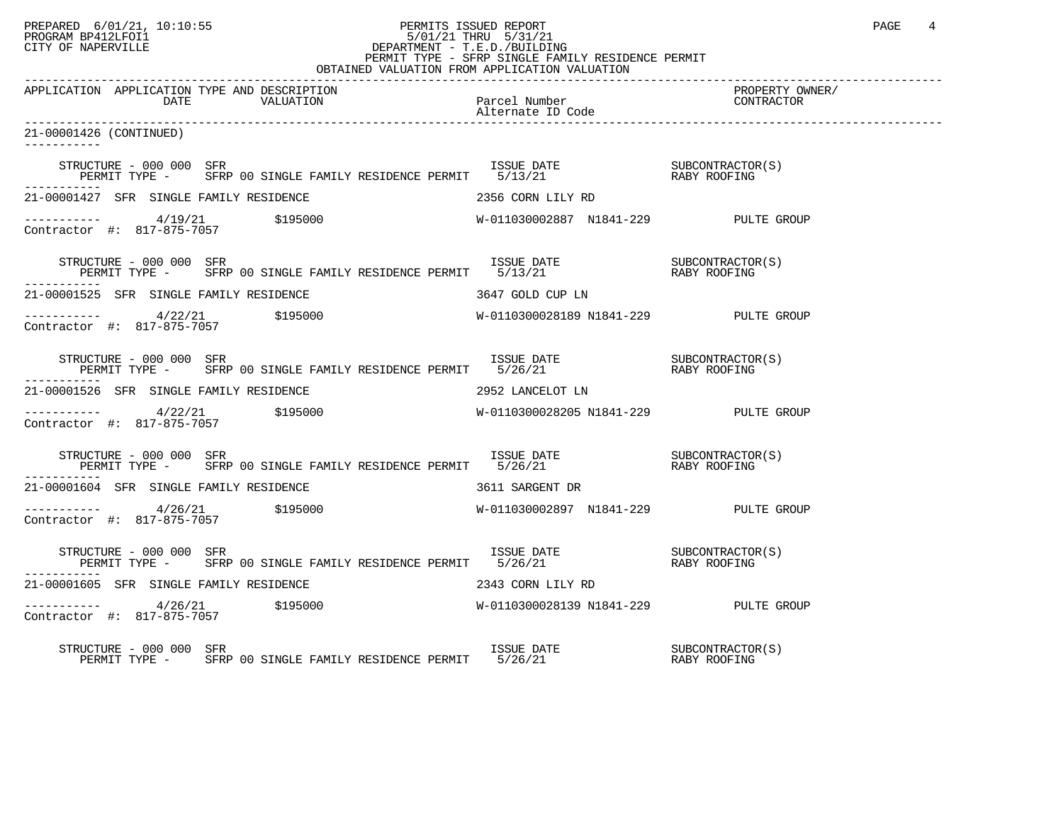## PREPARED 6/01/21, 10:10:55 PERMITS ISSUED REPORT PAGE 4 PROGRAM BP412LFOI1 PROGRAM BP412LFOI1 5/01/21 THRU 5/31/21 CITY OF NAPERVILLE **Example 20** CITY OF NAPERVILLE CITY OF NAPERVILLE<br>
PERMIT TYPE - SFRP SINGLE FAMILY RESIDENCE PERMIT<br>
PERMIT TYPE - SFRP SINGLE FAMILY RESIDENCE PERMIT OBTAINED VALUATION FROM APPLICATION VALUATION

| APPLICATION APPLICATION TYPE AND DESCRIPTION                                                                                        |                                       | PROPERTY OWNER/ |
|-------------------------------------------------------------------------------------------------------------------------------------|---------------------------------------|-----------------|
| 21-00001426 (CONTINUED)                                                                                                             |                                       |                 |
| STRUCTURE – 000 000 SFR<br>PERMIT TYPE – SFRP 00 SINGLE FAMILY RESIDENCE PERMIT 5/13/21 – RABY ROOFING                              |                                       |                 |
| 21-00001427 SFR SINGLE FAMILY RESIDENCE                                                                                             | 2356 CORN LILY RD                     |                 |
| ----------- $4/19/21$ $$195000$ $W-011030002887$ $N1841-229$ PULTE GROUP Contractor #: 817-875-7057                                 |                                       |                 |
| STRUCTURE – 000 000 SFR<br>PERMIT TYPE – SFRP 00 SINGLE FAMILY RESIDENCE PERMIT 5/13/21 – RABY ROOFING<br>-----------               |                                       |                 |
| 21-00001525 SFR SINGLE FAMILY RESIDENCE 6 66 16 16 16 16 17 16 17 18 19 19 10                                                       |                                       |                 |
| -----------   4/22/21   \$195000<br>Contractor #: 817-875-7057   \$195000                                                           | W-0110300028189 N1841-229 PULTE GROUP |                 |
|                                                                                                                                     |                                       |                 |
| 21-00001526 SFR SINGLE FAMILY RESIDENCE THE SERIES OF 2952 LANCELOT LN                                                              |                                       |                 |
| -----------   4/22/21   \$195000<br>Contractor #: 817-875-7057   \$195000                                                           | W-0110300028205 N1841-229 PULTE GROUP |                 |
| STRUCTURE – 000 000 SFR<br>PERMIT TYPE – SFRP 00 SINGLE FAMILY RESIDENCE PERMIT 5/26/21 – RABY ROOFING                              |                                       |                 |
| 21-00001604 SFR SINGLE FAMILY RESIDENCE THE SAME SERIES 3611 SARGENT DR                                                             |                                       |                 |
|                                                                                                                                     |                                       |                 |
| STRUCTURE – 000 000 SFR<br>PERMIT TYPE – SFRP 00 SINGLE FAMILY RESIDENCE PERMIT 5/26/21 – RABY ROOFING                              |                                       |                 |
| 21-00001605 SFR SINGLE FAMILY RESIDENCE 6 2343 CORN LILY RD                                                                         |                                       |                 |
| ----------- $4/26/21$ $$195000$ $W-0110300028139 N1841-229$ PULTE GROUP<br>Contractor #: 817-875-7057                               |                                       |                 |
| RUCTURE – 000 000 SFR<br>PERMIT TYPE – SFRP 00 SINGLE FAMILY RESIDENCE PERMIT 5/26/21 – THE RABY ROOFING<br>STRUCTURE - 000 000 SFR |                                       |                 |